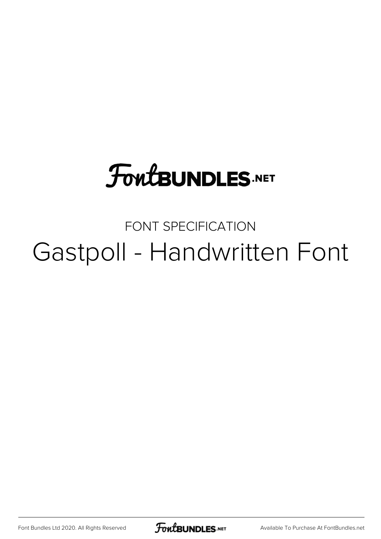# **FoutBUNDLES.NET**

## FONT SPECIFICATION Gastpoll - Handwritten Font

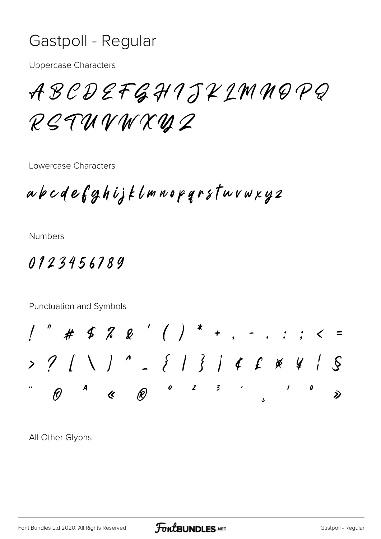## Gastpoll - Regular

**Uppercase Characters** 

ABCDEFGHIJKIMMOPQ RETUVWXUZ

Lowercase Characters

abcdefghijklmnopgrsturwxyz

**Numbers** 

### 0123456789

Punctuation and Symbols

All Other Glyphs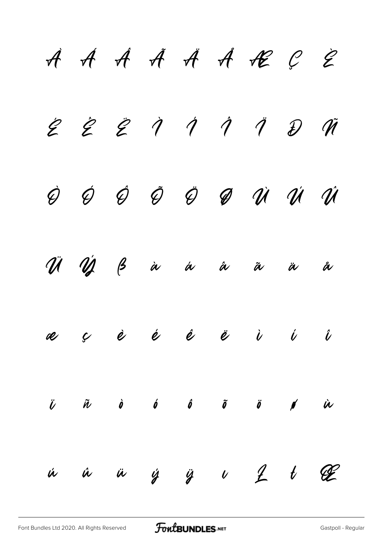